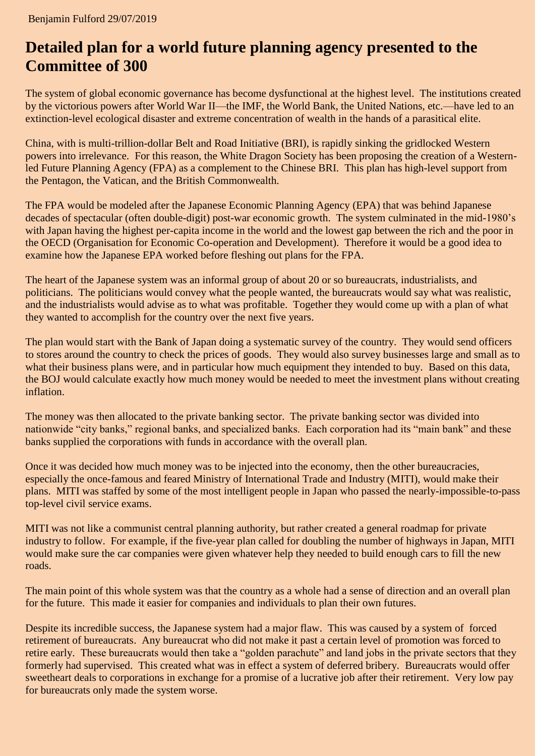## **Detailed plan for a world future planning agency presented to the Committee of 300**

The system of global economic governance has become dysfunctional at the highest level. The institutions created by the victorious powers after World War II—the IMF, the World Bank, the United Nations, etc.—have led to an extinction-level ecological disaster and extreme concentration of wealth in the hands of a parasitical elite.

China, with is multi-trillion-dollar Belt and Road Initiative (BRI), is rapidly sinking the gridlocked Western powers into irrelevance. For this reason, the White Dragon Society has been proposing the creation of a Westernled Future Planning Agency (FPA) as a complement to the Chinese BRI. This plan has high-level support from the Pentagon, the Vatican, and the British Commonwealth.

The FPA would be modeled after the Japanese Economic Planning Agency (EPA) that was behind Japanese decades of spectacular (often double-digit) post-war economic growth. The system culminated in the mid-1980's with Japan having the highest per-capita income in the world and the lowest gap between the rich and the poor in the OECD (Organisation for Economic Co-operation and Development). Therefore it would be a good idea to examine how the Japanese EPA worked before fleshing out plans for the FPA.

The heart of the Japanese system was an informal group of about 20 or so bureaucrats, industrialists, and politicians. The politicians would convey what the people wanted, the bureaucrats would say what was realistic, and the industrialists would advise as to what was profitable. Together they would come up with a plan of what they wanted to accomplish for the country over the next five years.

The plan would start with the Bank of Japan doing a systematic survey of the country. They would send officers to stores around the country to check the prices of goods. They would also survey businesses large and small as to what their business plans were, and in particular how much equipment they intended to buy. Based on this data, the BOJ would calculate exactly how much money would be needed to meet the investment plans without creating inflation.

The money was then allocated to the private banking sector. The private banking sector was divided into nationwide "city banks," regional banks, and specialized banks. Each corporation had its "main bank" and these banks supplied the corporations with funds in accordance with the overall plan.

Once it was decided how much money was to be injected into the economy, then the other bureaucracies, especially the once-famous and feared Ministry of International Trade and Industry (MITI), would make their plans. MITI was staffed by some of the most intelligent people in Japan who passed the nearly-impossible-to-pass top-level civil service exams.

MITI was not like a communist central planning authority, but rather created a general roadmap for private industry to follow. For example, if the five-year plan called for doubling the number of highways in Japan, MITI would make sure the car companies were given whatever help they needed to build enough cars to fill the new roads.

The main point of this whole system was that the country as a whole had a sense of direction and an overall plan for the future. This made it easier for companies and individuals to plan their own futures.

Despite its incredible success, the Japanese system had a major flaw. This was caused by a system of forced retirement of bureaucrats. Any bureaucrat who did not make it past a certain level of promotion was forced to retire early. These bureaucrats would then take a "golden parachute" and land jobs in the private sectors that they formerly had supervised. This created what was in effect a system of deferred bribery. Bureaucrats would offer sweetheart deals to corporations in exchange for a promise of a lucrative job after their retirement. Very low pay for bureaucrats only made the system worse.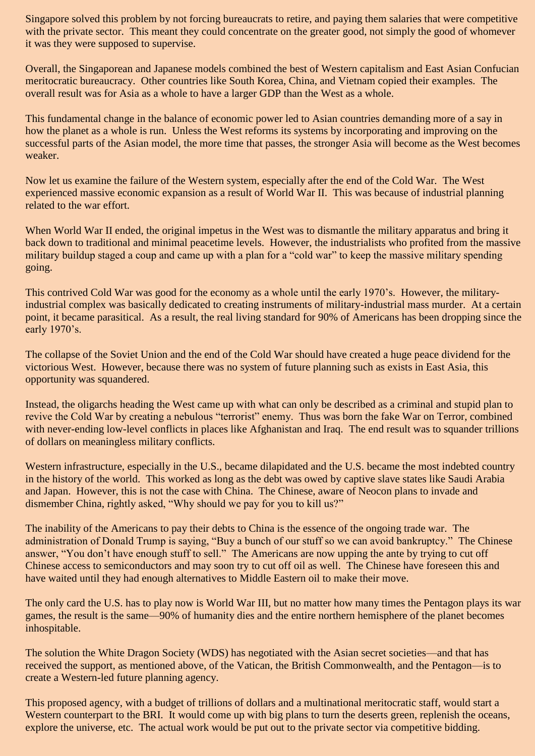Singapore solved this problem by not forcing bureaucrats to retire, and paying them salaries that were competitive with the private sector. This meant they could concentrate on the greater good, not simply the good of whomever it was they were supposed to supervise.

Overall, the Singaporean and Japanese models combined the best of Western capitalism and East Asian Confucian meritocratic bureaucracy. Other countries like South Korea, China, and Vietnam copied their examples. The overall result was for Asia as a whole to have a larger GDP than the West as a whole.

This fundamental change in the balance of economic power led to Asian countries demanding more of a say in how the planet as a whole is run. Unless the West reforms its systems by incorporating and improving on the successful parts of the Asian model, the more time that passes, the stronger Asia will become as the West becomes weaker.

Now let us examine the failure of the Western system, especially after the end of the Cold War. The West experienced massive economic expansion as a result of World War II. This was because of industrial planning related to the war effort.

When World War II ended, the original impetus in the West was to dismantle the military apparatus and bring it back down to traditional and minimal peacetime levels. However, the industrialists who profited from the massive military buildup staged a coup and came up with a plan for a "cold war" to keep the massive military spending going.

This contrived Cold War was good for the economy as a whole until the early 1970's. However, the militaryindustrial complex was basically dedicated to creating instruments of military-industrial mass murder. At a certain point, it became parasitical. As a result, the real living standard for 90% of Americans has been dropping since the early 1970's.

The collapse of the Soviet Union and the end of the Cold War should have created a huge peace dividend for the victorious West. However, because there was no system of future planning such as exists in East Asia, this opportunity was squandered.

Instead, the oligarchs heading the West came up with what can only be described as a criminal and stupid plan to revive the Cold War by creating a nebulous "terrorist" enemy. Thus was born the fake War on Terror, combined with never-ending low-level conflicts in places like Afghanistan and Iraq. The end result was to squander trillions of dollars on meaningless military conflicts.

Western infrastructure, especially in the U.S., became dilapidated and the U.S. became the most indebted country in the history of the world. This worked as long as the debt was owed by captive slave states like Saudi Arabia and Japan. However, this is not the case with China. The Chinese, aware of Neocon plans to invade and dismember China, rightly asked, "Why should we pay for you to kill us?"

The inability of the Americans to pay their debts to China is the essence of the ongoing trade war. The administration of Donald Trump is saying, "Buy a bunch of our stuff so we can avoid bankruptcy." The Chinese answer, "You don't have enough stuff to sell." The Americans are now upping the ante by trying to cut off Chinese access to semiconductors and may soon try to cut off oil as well. The Chinese have foreseen this and have waited until they had enough alternatives to Middle Eastern oil to make their move.

The only card the U.S. has to play now is World War III, but no matter how many times the Pentagon plays its war games, the result is the same—90% of humanity dies and the entire northern hemisphere of the planet becomes inhospitable.

The solution the White Dragon Society (WDS) has negotiated with the Asian secret societies—and that has received the support, as mentioned above, of the Vatican, the British Commonwealth, and the Pentagon—is to create a Western-led future planning agency.

This proposed agency, with a budget of trillions of dollars and a multinational meritocratic staff, would start a Western counterpart to the BRI. It would come up with big plans to turn the deserts green, replenish the oceans, explore the universe, etc. The actual work would be put out to the private sector via competitive bidding.